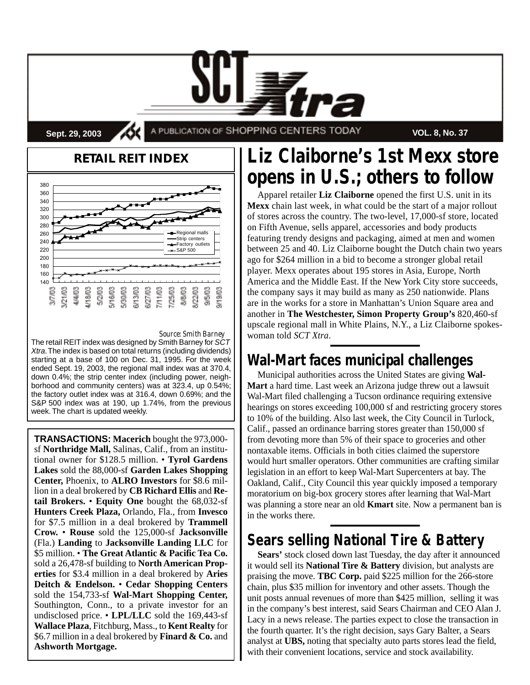**Sept. 29, 2003 A PUBLICATION OF SHOPPING CENTERS TODAY VOL. 8, No. 37** 

#### **RETAIL REIT INDEX** 380 360 340 320 300 280 260 Regional ma Strip centers 240 ory outlet 220 S&P 500200 180 160 140  $50003$ 5/16/03 6/13/03 /25/03 \$22.03 9/5/03 21/03  $/18/03$ 5/30/03 \$/27/03 7/11/03 8/8/03 9/19/03 37703

#### *Source: Smith Barney*

The retail REIT index was designed by Smith Barney for S $\r{CT}$ Xtra.The index is based on total returns (including dividends) starting at a base of 100 on Dec. 31, 1995. For the week ended Sept. 19, 2003, the regional mall index was at 370.4, down 0.4%; the strip center index (including power, neighborhood and community centers) was at 323.4, up 0.54%; the factory outlet index was at 316.4, down 0.69%; and the S&P 500 index was at 190, up 1.74%, from the previous week. The chart is updated weekly.

**TRANSACTIONS: Macerich** bought the 973,000 sf **Northridge Mall,** Salinas, Calif., from an institutional owner for \$128.5 million. • **Tyrol Gardens Lakes** sold the 88,000-sf **Garden Lakes Shopping Center,** Phoenix, to **ALRO Investors** for \$8.6 million in a deal brokered by **CB Richard Ellis** and **Retail Brokers.** • **Equity One** bought the 68,032-sf **Hunters Creek Plaza,** Orlando, Fla., from **Invesco** for \$7.5 million in a deal brokered by **Trammell Crow.** • **Rouse** sold the 125,000-sf **Jacksonville** (Fla.) **Landing** to **Jacksonville Landing LLC** for \$5 million. • **The Great Atlantic & Pacific Tea Co.** sold a 26,478-sf building to **North American Properties** for \$3.4 million in a deal brokered by **Aries Deitch & Endelson.** • **Cedar Shopping Centers** sold the 154,733-sf **Wal-Mart Shopping Center,** Southington, Conn., to a private investor for an undisclosed price. • **LPL/LLC** sold the 169,443-sf **Wallace Plaza**, Fitchburg, Mass., to **Kent Realty** for \$6.7 million in a deal brokered by **Finard & Co.** and **Ashworth Mortgage.**

# **Liz Claiborne's 1st Mexx store opens in U.S.; others to follow**

Apparel retailer **Liz Claiborne** opened the first U.S. unit in its **Mexx** chain last week, in what could be the start of a major rollout of stores across the country. The two-level, 17,000-sf store, located on Fifth Avenue, sells apparel, accessories and body products featuring trendy designs and packaging, aimed at men and women between 25 and 40. Liz Claiborne bought the Dutch chain two years ago for \$264 million in a bid to become a stronger global retail player. Mexx operates about 195 stores in Asia, Europe, North America and the Middle East. If the New York City store succeeds, the company says it may build as many as 250 nationwide. Plans are in the works for a store in Manhattan's Union Square area and another in **The Westchester, Simon Property Group's** 820,460-sf upscale regional mall in White Plains, N.Y., a Liz Claiborne spokeswoman told *SCT Xtra*.

# **Wal-Mart faces municipal challenges**

Municipal authorities across the United States are giving **Wal-Mart** a hard time. Last week an Arizona judge threw out a lawsuit Wal-Mart filed challenging a Tucson ordinance requiring extensive hearings on stores exceeding 100,000 sf and restricting grocery stores to 10% of the building. Also last week, the City Council in Turlock, Calif., passed an ordinance barring stores greater than 150,000 sf from devoting more than 5% of their space to groceries and other nontaxable items. Officials in both cities claimed the superstore would hurt smaller operators. Other communities are crafting similar legislation in an effort to keep Wal-Mart Supercenters at bay. The Oakland, Calif., City Council this year quickly imposed a temporary moratorium on big-box grocery stores after learning that Wal-Mart was planning a store near an old **Kmart** site. Now a permanent ban is in the works there.

# **Sears selling National Tire & Battery**

**Sears'** stock closed down last Tuesday, the day after it announced it would sell its **National Tire & Battery** division, but analysts are praising the move. **TBC Corp.** paid \$225 million for the 266-store chain, plus \$35 million for inventory and other assets. Though the unit posts annual revenues of more than \$425 million, selling it was in the company's best interest, said Sears Chairman and CEO Alan J. Lacy in a news release. The parties expect to close the transaction in the fourth quarter. It's the right decision, says Gary Balter, a Sears analyst at **UBS,** noting that specialty auto parts stores lead the field, with their convenient locations, service and stock availability.